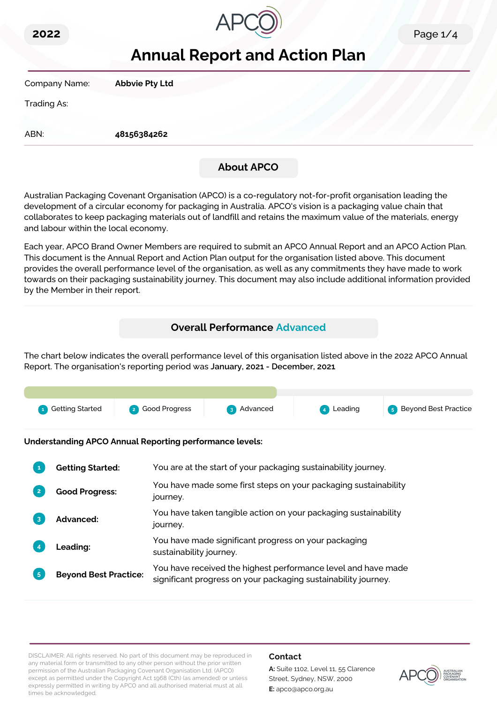



# **Annual Report and Action Plan**

Company Name: **Abbvie Pty Ltd**

Trading As:

ABN: **48156384262**

# **About APCO**

Australian Packaging Covenant Organisation (APCO) is a co-regulatory not-for-profit organisation leading the development of a circular economy for packaging in Australia. APCO's vision is a packaging value chain that collaborates to keep packaging materials out of landfill and retains the maximum value of the materials, energy and labour within the local economy.

Each year, APCO Brand Owner Members are required to submit an APCO Annual Report and an APCO Action Plan. This document is the Annual Report and Action Plan output for the organisation listed above. This document provides the overall performance level of the organisation, as well as any commitments they have made to work towards on their packaging sustainability journey. This document may also include additional information provided by the Member in their report.

# **Overall Performance Advanced**

The chart below indicates the overall performance level of this organisation listed above in the 2022 APCO Annual Report. The organisation's reporting period was **January, 2021 - December, 2021**.



**Understanding APCO Annual Reporting performance levels:**

|    | <b>Getting Started:</b>      | You are at the start of your packaging sustainability journey.                                                                  |
|----|------------------------------|---------------------------------------------------------------------------------------------------------------------------------|
|    | <b>Good Progress:</b>        | You have made some first steps on your packaging sustainability<br>journey.                                                     |
|    | <b>Advanced:</b>             | You have taken tangible action on your packaging sustainability<br>journey.                                                     |
|    | <b>Leading:</b>              | You have made significant progress on your packaging<br>sustainability journey.                                                 |
| 5. | <b>Beyond Best Practice:</b> | You have received the highest performance level and have made<br>significant progress on your packaging sustainability journey. |

DISCLAIMER: All rights reserved. No part of this document may be reproduced in any material form or transmitted to any other person without the prior written permission of the Australian Packaging Covenant Organisation Ltd. (APCO) except as permitted under the Copyright Act 1968 (Cth) (as amended) or unless expressly permitted in writing by APCO and all authorised material must at all times be acknowledged.

# **Contact**

**A:** Suite 1102, Level 11, 55 Clarence Street, Sydney, NSW, 2000 **E:** apco@apco.org.au

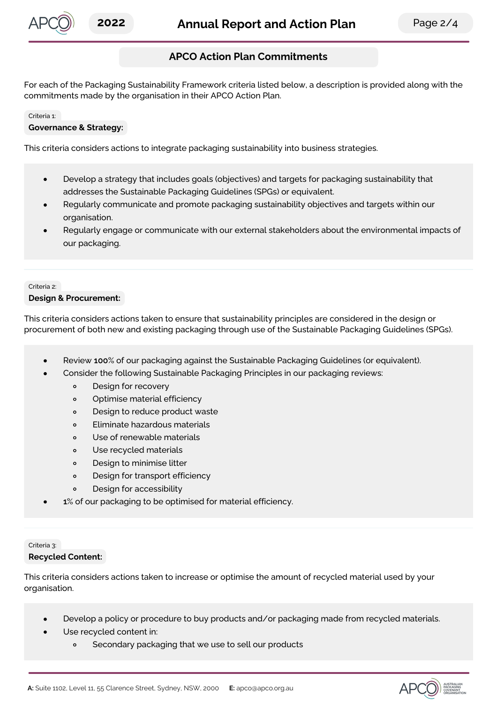

# **APCO Action Plan Commitments**

For each of the Packaging Sustainability Framework criteria listed below, a description is provided along with the commitments made by the organisation in their APCO Action Plan.

#### Criteria 1:

#### **Governance & Strategy:**

This criteria considers actions to integrate packaging sustainability into business strategies.

- Develop a strategy that includes goals (objectives) and targets for packaging sustainability that  $\bullet$ addresses the Sustainable Packaging Guidelines (SPGs) or equivalent.
- Regularly communicate and promote packaging sustainability objectives and targets within our organisation.
- Regularly engage or communicate with our external stakeholders about the environmental impacts of our packaging.

#### Criteria 2: **Design & Procurement:**

This criteria considers actions taken to ensure that sustainability principles are considered in the design or procurement of both new and existing packaging through use of the Sustainable Packaging Guidelines (SPGs).

- Review **100**% of our packaging against the Sustainable Packaging Guidelines (or equivalent).
- Consider the following Sustainable Packaging Principles in our packaging reviews:
	- $\circ$ Design for recovery
	- $\circ$ Optimise material efficiency
	- Design to reduce product waste  $\circ$
	- $\circ$ Eliminate hazardous materials
	- Use of renewable materials  $\circ$
	- Use recycled materials  $\circ$
	- Design to minimise litter  $\circ$
	- $\circ$ Design for transport efficiency
	- Design for accessibility  $\circ$
- **1**% of our packaging to be optimised for material efficiency.

#### Criteria 3:

#### **Recycled Content:**

This criteria considers actions taken to increase or optimise the amount of recycled material used by your organisation.

- Develop a policy or procedure to buy products and/or packaging made from recycled materials.
- Use recycled content in:
	- Secondary packaging that we use to sell our products  $\circ$

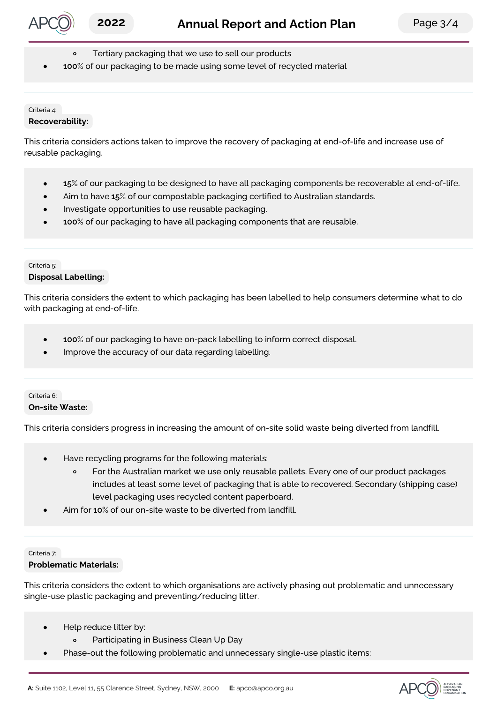

- Tertiary packaging that we use to sell our products
- **100**% of our packaging to be made using some level of recycled material

#### Criteria 4: **Recoverability:**

This criteria considers actions taken to improve the recovery of packaging at end-of-life and increase use of reusable packaging.

- **15**% of our packaging to be designed to have all packaging components be recoverable at end-of-life.
- Aim to have **15**% of our compostable packaging certified to Australian standards.
- Investigate opportunities to use reusable packaging.
- **100**% of our packaging to have all packaging components that are reusable.

### Criteria 5: **Disposal Labelling:**

This criteria considers the extent to which packaging has been labelled to help consumers determine what to do with packaging at end-of-life.

- $\bullet$ **100**% of our packaging to have on-pack labelling to inform correct disposal.
- Improve the accuracy of our data regarding labelling.

### Criteria 6: **On-site Waste:**

This criteria considers progress in increasing the amount of on-site solid waste being diverted from landfill.

- Have recycling programs for the following materials:
	- $\circ$ For the Australian market we use only reusable pallets. Every one of our product packages includes at least some level of packaging that is able to recovered. Secondary (shipping case) level packaging uses recycled content paperboard.
- Aim for **10**% of our on-site waste to be diverted from landfill.

# Criteria 7:

# **Problematic Materials:**

This criteria considers the extent to which organisations are actively phasing out problematic and unnecessary single-use plastic packaging and preventing/reducing litter.

- Help reduce litter by:  $\bullet$ 
	- $\circ$ Participating in Business Clean Up Day
- Phase-out the following problematic and unnecessary single-use plastic items:  $\bullet$